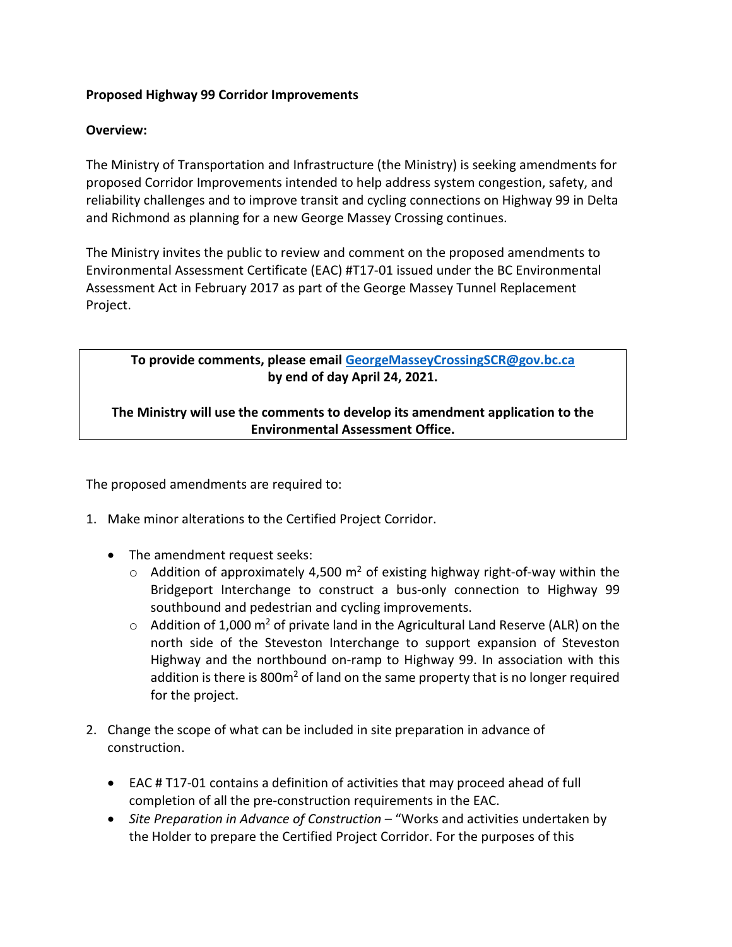## **Proposed Highway 99 Corridor Improvements**

## **Overview:**

The Ministry of Transportation and Infrastructure (the Ministry) is seeking amendments for proposed Corridor Improvements intended to help address system congestion, safety, and reliability challenges and to improve transit and cycling connections on Highway 99 in Delta and Richmond as planning for a new George Massey Crossing continues.

The Ministry invites the public to review and comment on the proposed amendments to Environmental Assessment Certificate (EAC) #T17-01 issued under the BC Environmental Assessment Act in February 2017 as part of the George Massey Tunnel Replacement Project.

## **To provide comments, please email [GeorgeMasseyCrossingSCR@gov.bc.ca](mailto:GeorgeMasseyCrossingSCR@gov.bc.ca) by end of day April 24, 2021.**

**The Ministry will use the comments to develop its amendment application to the Environmental Assessment Office.**

The proposed amendments are required to:

- 1. Make minor alterations to the Certified Project Corridor.
	- The amendment request seeks:
		- $\circ$  Addition of approximately 4,500 m<sup>2</sup> of existing highway right-of-way within the Bridgeport Interchange to construct a bus-only connection to Highway 99 southbound and pedestrian and cycling improvements.
		- $\circ$  Addition of 1,000 m<sup>2</sup> of private land in the Agricultural Land Reserve (ALR) on the north side of the Steveston Interchange to support expansion of Steveston Highway and the northbound on-ramp to Highway 99. In association with this addition is there is  $800m^2$  of land on the same property that is no longer required for the project.
- 2. Change the scope of what can be included in site preparation in advance of construction.
	- EAC # T17-01 contains a definition of activities that may proceed ahead of full completion of all the pre-construction requirements in the EAC.
	- *Site Preparation in Advance of Construction* "Works and activities undertaken by the Holder to prepare the Certified Project Corridor. For the purposes of this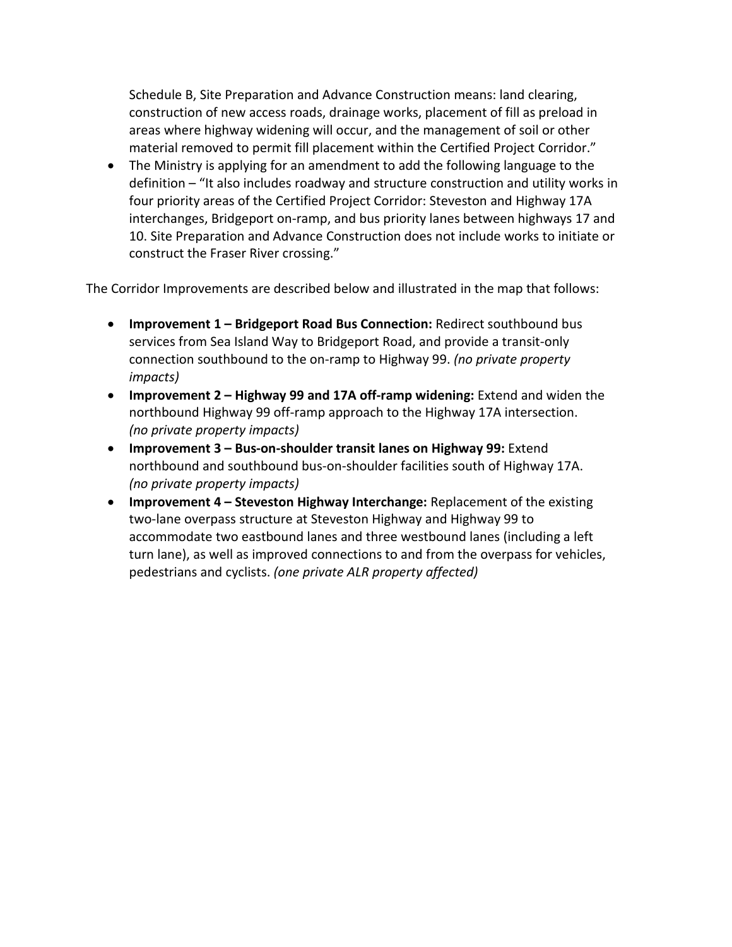Schedule B, Site Preparation and Advance Construction means: land clearing, construction of new access roads, drainage works, placement of fill as preload in areas where highway widening will occur, and the management of soil or other material removed to permit fill placement within the Certified Project Corridor."

• The Ministry is applying for an amendment to add the following language to the definition – "It also includes roadway and structure construction and utility works in four priority areas of the Certified Project Corridor: Steveston and Highway 17A interchanges, Bridgeport on-ramp, and bus priority lanes between highways 17 and 10. Site Preparation and Advance Construction does not include works to initiate or construct the Fraser River crossing."

The Corridor Improvements are described below and illustrated in the map that follows:

- **Improvement 1 – Bridgeport Road Bus Connection:** Redirect southbound bus services from Sea Island Way to Bridgeport Road, and provide a transit-only connection southbound to the on-ramp to Highway 99. *(no private property impacts)*
- **Improvement 2 – Highway 99 and 17A off-ramp widening:** Extend and widen the northbound Highway 99 off-ramp approach to the Highway 17A intersection. *(no private property impacts)*
- **Improvement 3 – Bus-on-shoulder transit lanes on Highway 99:** Extend northbound and southbound bus-on-shoulder facilities south of Highway 17A. *(no private property impacts)*
- **Improvement 4 – Steveston Highway Interchange:** Replacement of the existing two-lane overpass structure at Steveston Highway and Highway 99 to accommodate two eastbound lanes and three westbound lanes (including a left turn lane), as well as improved connections to and from the overpass for vehicles, pedestrians and cyclists. *(one private ALR property affected)*